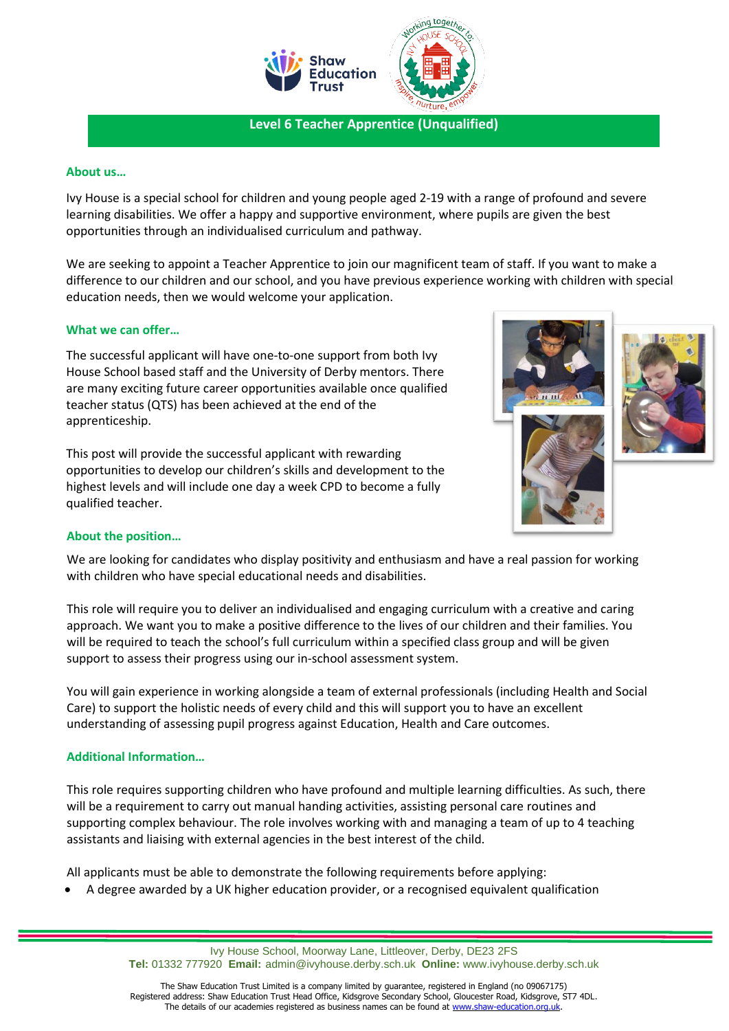

**Level 6 Teacher Apprentice (Unqualified)**

### **About us…**

Ivy House is a special school for children and young people aged 2-19 with a range of profound and severe learning disabilities. We offer a happy and supportive environment, where pupils are given the best opportunities through an individualised curriculum and pathway.

We are seeking to appoint a Teacher Apprentice to join our magnificent team of staff. If you want to make a difference to our children and our school, and you have previous experience working with children with special education needs, then we would welcome your application.

### **What we can offer…**

The successful applicant will have one-to-one support from both Ivy House School based staff and the University of Derby mentors. There are many exciting future career opportunities available once qualified teacher status (QTS) has been achieved at the end of the apprenticeship.

This post will provide the successful applicant with rewarding opportunities to develop our children's skills and development to the highest levels and will include one day a week CPD to become a fully qualified teacher.



#### **About the position…**

We are looking for candidates who display positivity and enthusiasm and have a real passion for working with children who have special educational needs and disabilities.

This role will require you to deliver an individualised and engaging curriculum with a creative and caring approach. We want you to make a positive difference to the lives of our children and their families. You will be required to teach the school's full curriculum within a specified class group and will be given support to assess their progress using our in-school assessment system.

You will gain experience in working alongside a team of external professionals (including Health and Social Care) to support the holistic needs of every child and this will support you to have an excellent understanding of assessing pupil progress against Education, Health and Care outcomes.

### **Additional Information…**

This role requires supporting children who have profound and multiple learning difficulties. As such, there will be a requirement to carry out manual handing activities, assisting personal care routines and supporting complex behaviour. The role involves working with and managing a team of up to 4 teaching assistants and liaising with external agencies in the best interest of the child.

All applicants must be able to demonstrate the following requirements before applying:

• A degree awarded by a UK higher education provider, or a recognised equivalent qualification